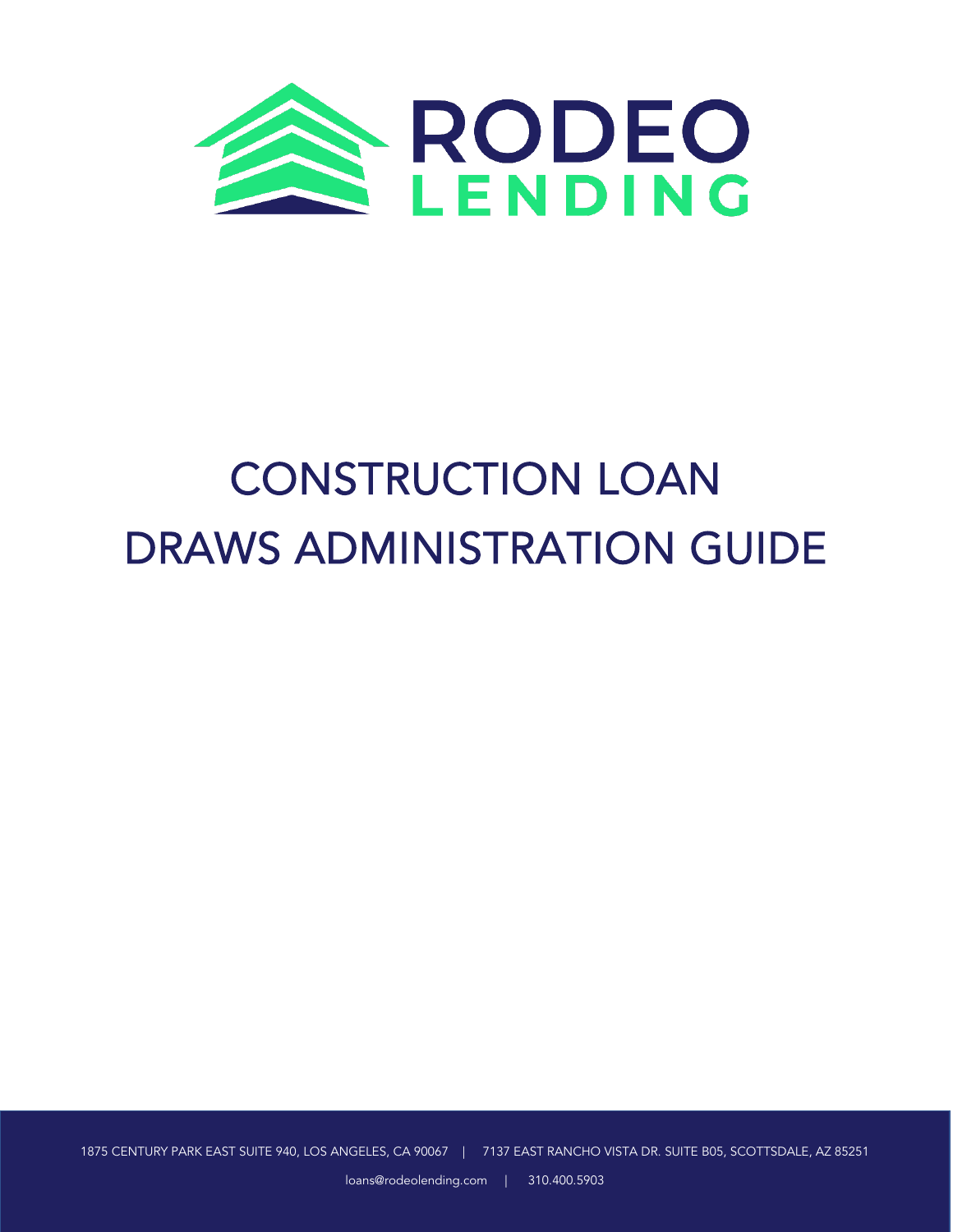

# CONSTRUCTION LOAN DRAWS ADMINISTRATION GUIDE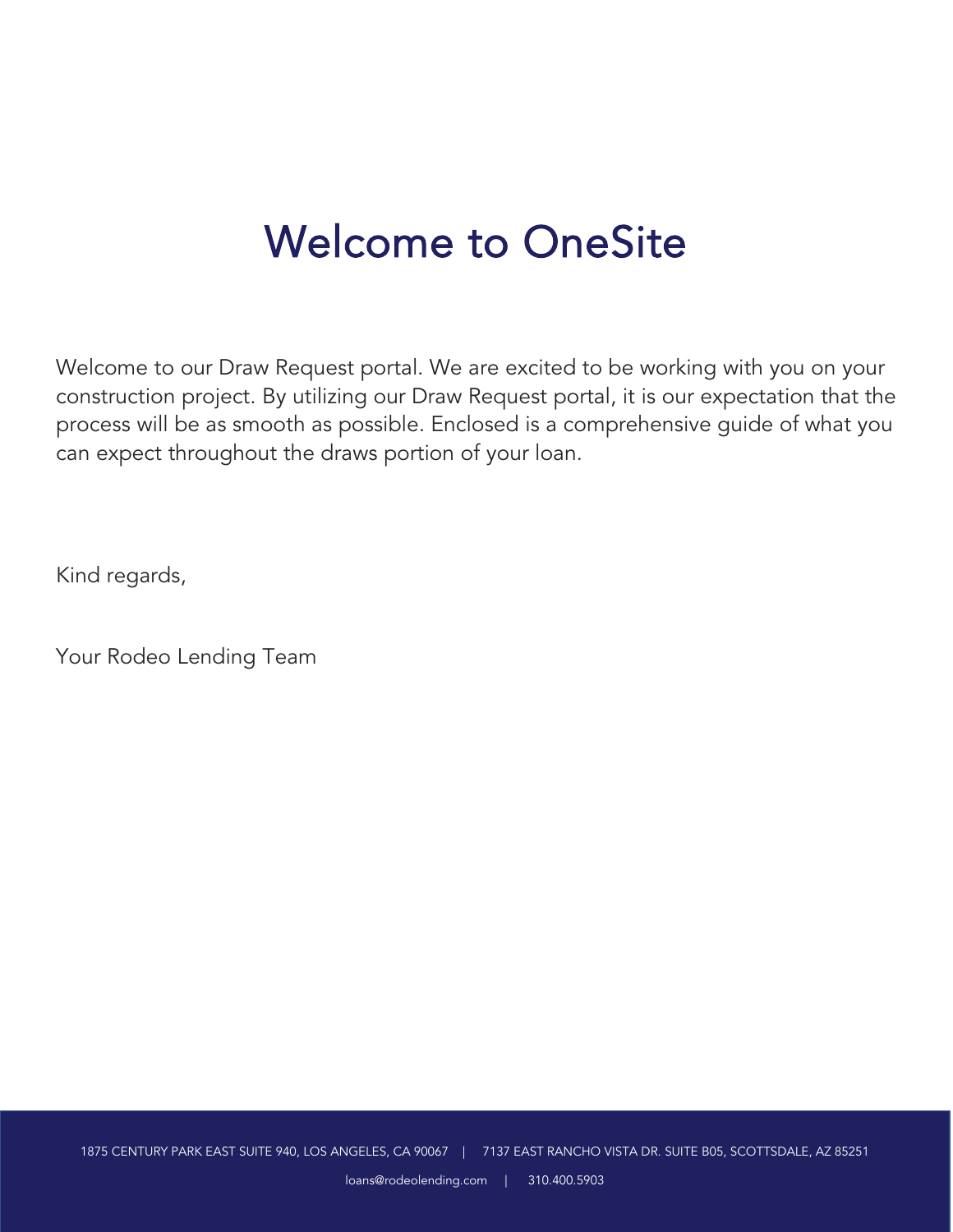### Welcome to OneSite

Welcome to our Draw Request portal. We are excited to be working with you on your construction project. By utilizing our Draw Request portal, it is our expectation that the process will be as smooth as possible. Enclosed is a comprehensive guide of what you can expect throughout the draws portion of your loan.

Kind regards,

Your Rodeo Lending Team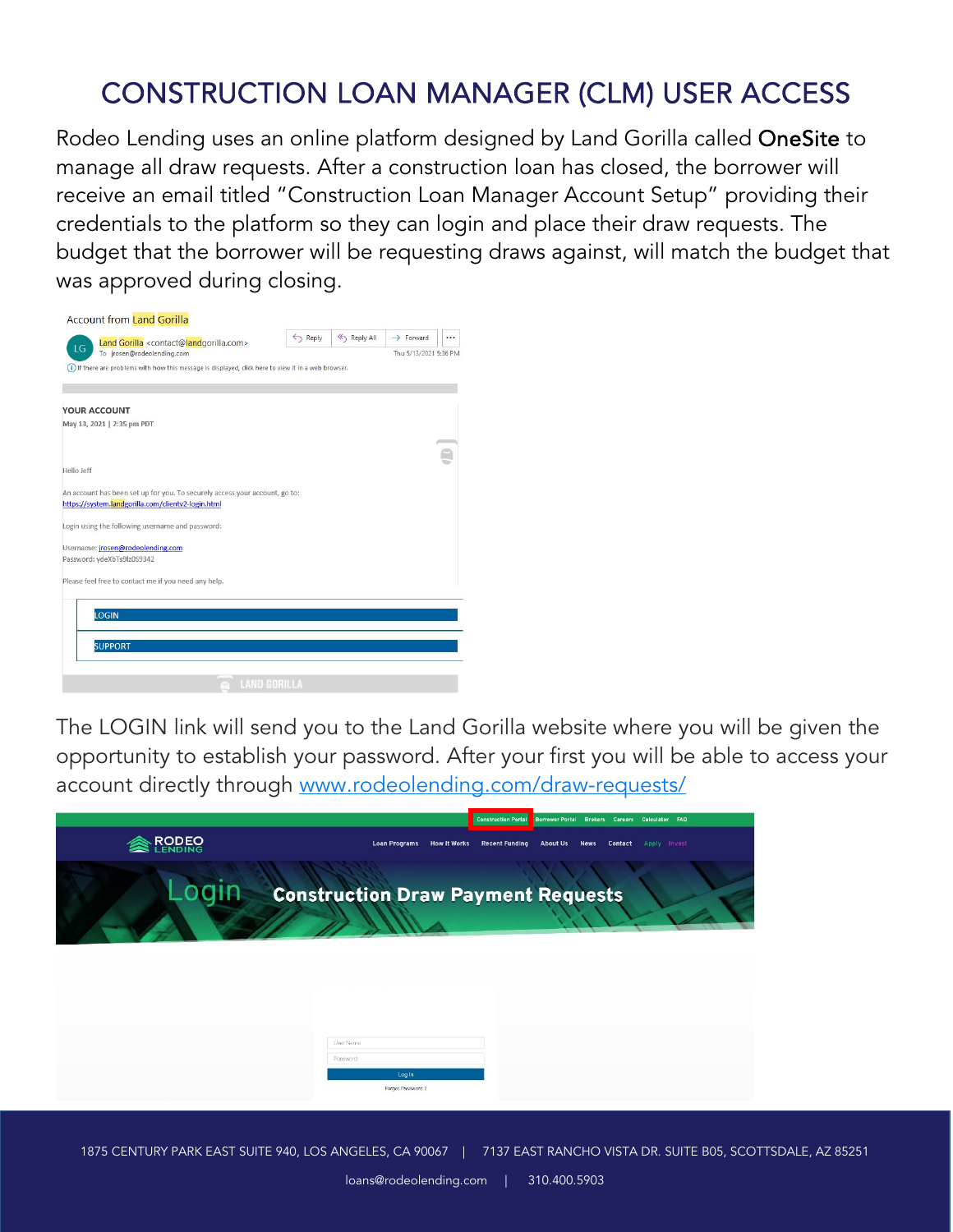### CONSTRUCTION LOAN MANAGER (CLM) USER ACCESS

Rodeo Lending uses an online platform designed by Land Gorilla called OneSite to manage all draw requests. After a construction loan has closed, the borrower will receive an email titled "Construction Loan Manager Account Setup" providing their credentials to the platform so they can login and place their draw requests. The budget that the borrower will be requesting draws against, will match the budget that was approved during closing.

|            | Land Gorilla <contact@landgorilla.com></contact@landgorilla.com>                                                                  | $\leftrightarrow$ Reply | Reply All | $\rightarrow$ Forward | $\cdots$ |
|------------|-----------------------------------------------------------------------------------------------------------------------------------|-------------------------|-----------|-----------------------|----------|
| LG         | To jrosen@rodeolending.com                                                                                                        |                         |           | Thu 5/13/2021 5:36 PM |          |
|            | (i) If there are problems with how this message is displayed, click here to view it in a web browser.                             |                         |           |                       |          |
|            |                                                                                                                                   |                         |           |                       |          |
|            | <b>YOUR ACCOUNT</b>                                                                                                               |                         |           |                       |          |
|            | May 13, 2021   2:35 pm PDT                                                                                                        |                         |           |                       |          |
|            |                                                                                                                                   |                         |           |                       |          |
|            |                                                                                                                                   |                         |           |                       |          |
| Hello Jeff |                                                                                                                                   |                         |           |                       |          |
|            | An account has been set up for you. To securely access your account, go to:<br>https://system.landgorilla.com/clientv2-login.html |                         |           |                       |          |
|            | Login using the following username and password:                                                                                  |                         |           |                       |          |
|            | Username: jrosen@rodeolending.com                                                                                                 |                         |           |                       |          |
|            | Password: ydeXbTs9lz0S9342                                                                                                        |                         |           |                       |          |
|            | Please feel free to contact me if you need any help.                                                                              |                         |           |                       |          |
|            |                                                                                                                                   |                         |           |                       |          |
|            | <b>LOGIN</b>                                                                                                                      |                         |           |                       |          |
|            |                                                                                                                                   |                         |           |                       |          |
|            | <b>SUPPORT</b>                                                                                                                    |                         |           |                       |          |
|            |                                                                                                                                   |                         |           |                       |          |
|            |                                                                                                                                   |                         |           |                       |          |

The LOGIN link will send you to the Land Gorilla website where you will be given the opportunity to establish your password. After your first you will be able to access your account directly through [www.rodeolending.com/draw-requests/](about:blank) 



1875 CENTURY PARK EAST SUITE 940, LOS ANGELES, CA 90067 | 7137 EAST RANCHO VISTA DR. SUITE B05, SCOTTSDALE, AZ 85251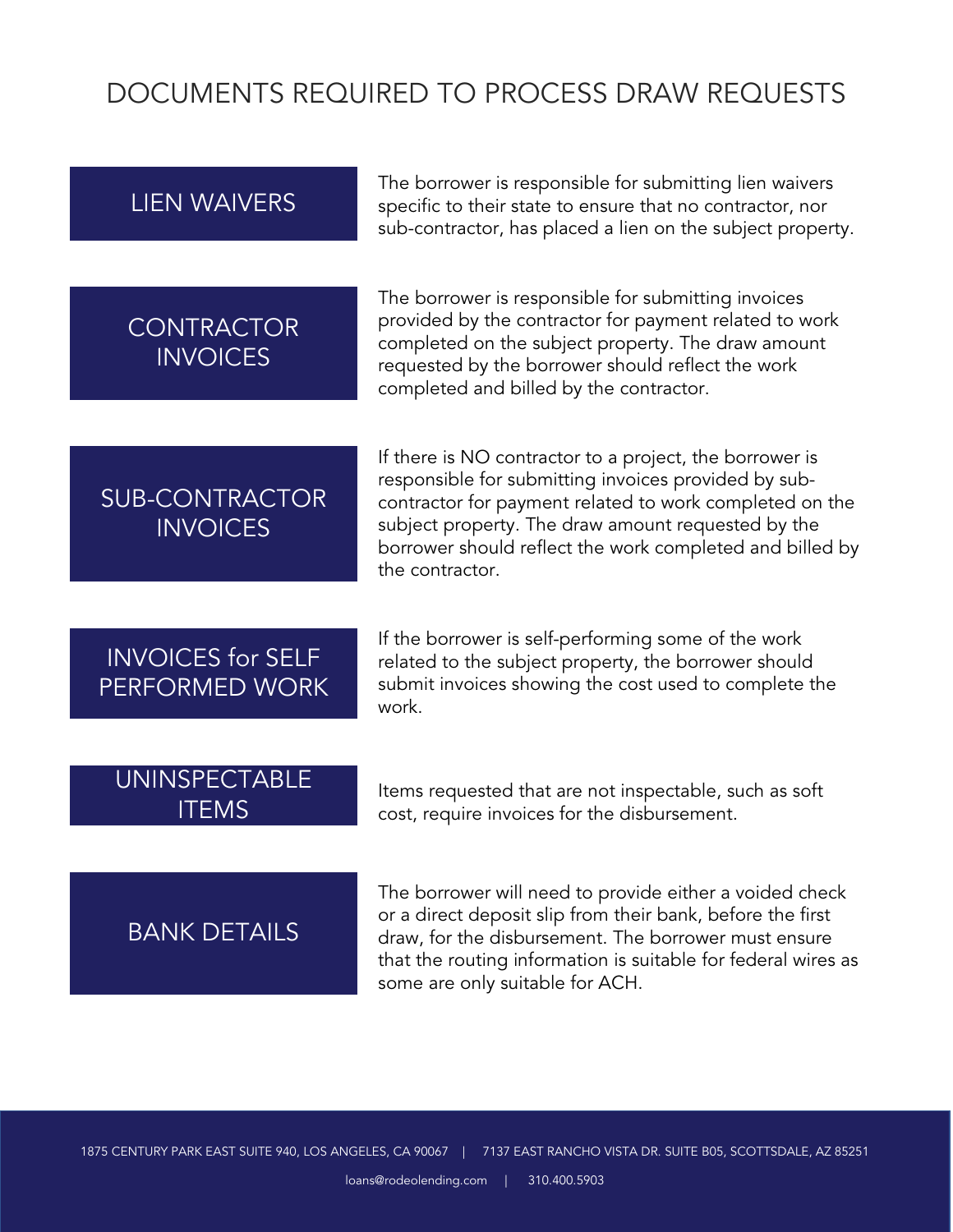#### DOCUMENTS REQUIRED TO PROCESS DRAW REQUESTS

The borrower is responsible for submitting lien waivers<br>LIEN WAIVERS specific to their state to ensure that no contractor, nor specific to their state to ensure that no contractor, nor sub-contractor, has placed a lien on the subject property.

#### CONTRACTOR **INVOICES**

The borrower is responsible for submitting invoices provided by the contractor for payment related to work completed on the subject property. The draw amount requested by the borrower should reflect the work completed and billed by the contractor.

#### SUB-CONTRACTOR **INVOICES**

If there is NO contractor to a project, the borrower is responsible for submitting invoices provided by subcontractor for payment related to work completed on the subject property. The draw amount requested by the borrower should reflect the work completed and billed by the contractor.

#### INVOICES for SELF PERFORMED WORK

If the borrower is self-performing some of the work related to the subject property, the borrower should submit invoices showing the cost used to complete the work.

# UNINSPECTABLE

ITEMS<br>ITEMS **ITEMS ITEMS** cost, require invoices for the disbursement.

#### BANK DETAILS

The borrower will need to provide either a voided check or a direct deposit slip from their bank, before the first draw, for the disbursement. The borrower must ensure that the routing information is suitable for federal wires as some are only suitable for ACH.

 $\overline{a}$